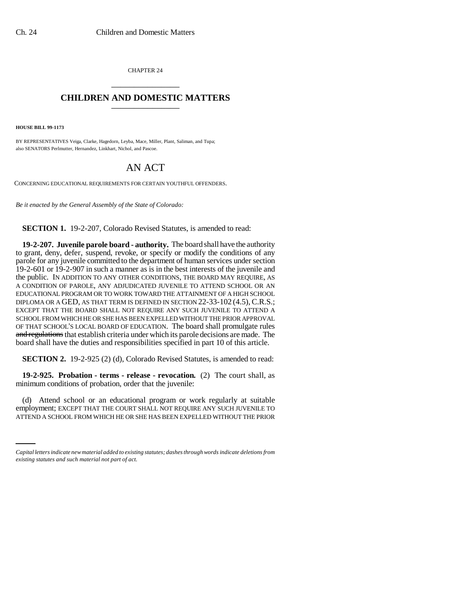CHAPTER 24 \_\_\_\_\_\_\_\_\_\_\_\_\_\_\_

## **CHILDREN AND DOMESTIC MATTERS** \_\_\_\_\_\_\_\_\_\_\_\_\_\_\_

**HOUSE BILL 99-1173** 

BY REPRESENTATIVES Veiga, Clarke, Hagedorn, Leyba, Mace, Miller, Plant, Saliman, and Tupa; also SENATORS Perlmutter, Hernandez, Linkhart, Nichol, and Pascoe.

## AN ACT

CONCERNING EDUCATIONAL REQUIREMENTS FOR CERTAIN YOUTHFUL OFFENDERS.

*Be it enacted by the General Assembly of the State of Colorado:*

**SECTION 1.** 19-2-207, Colorado Revised Statutes, is amended to read:

**19-2-207. Juvenile parole board - authority.** The board shall have the authority to grant, deny, defer, suspend, revoke, or specify or modify the conditions of any parole for any juvenile committed to the department of human services under section 19-2-601 or 19-2-907 in such a manner as is in the best interests of the juvenile and the public. IN ADDITION TO ANY OTHER CONDITIONS, THE BOARD MAY REQUIRE, AS A CONDITION OF PAROLE, ANY ADJUDICATED JUVENILE TO ATTEND SCHOOL OR AN EDUCATIONAL PROGRAM OR TO WORK TOWARD THE ATTAINMENT OF A HIGH SCHOOL DIPLOMA OR A GED, AS THAT TERM IS DEFINED IN SECTION 22-33-102 (4.5), C.R.S.; EXCEPT THAT THE BOARD SHALL NOT REQUIRE ANY SUCH JUVENILE TO ATTEND A SCHOOL FROM WHICH HE OR SHE HAS BEEN EXPELLED WITHOUT THE PRIOR APPROVAL OF THAT SCHOOL'S LOCAL BOARD OF EDUCATION. The board shall promulgate rules and regulations that establish criteria under which its parole decisions are made. The board shall have the duties and responsibilities specified in part 10 of this article.

**SECTION 2.** 19-2-925 (2) (d), Colorado Revised Statutes, is amended to read:

**19-2-925. Probation - terms - release - revocation.** (2) The court shall, as minimum conditions of probation, order that the juvenile:

(d) Attend school of all educational program of work regularly at suitable<br>employment; EXCEPT THAT THE COURT SHALL NOT REQUIRE ANY SUCH JUVENILE TO (d) Attend school or an educational program or work regularly at suitable ATTEND A SCHOOL FROM WHICH HE OR SHE HAS BEEN EXPELLED WITHOUT THE PRIOR

*Capital letters indicate new material added to existing statutes; dashes through words indicate deletions from existing statutes and such material not part of act.*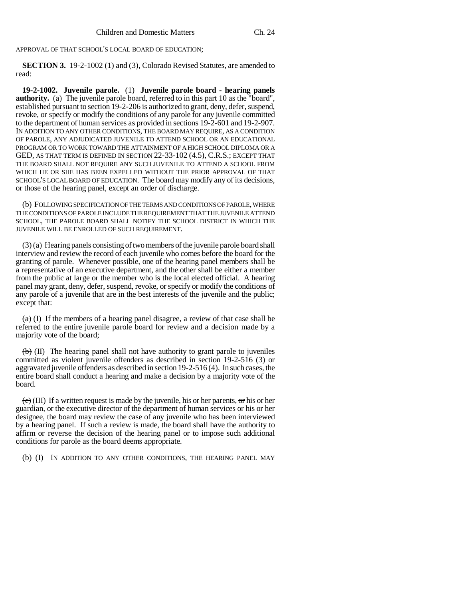APPROVAL OF THAT SCHOOL'S LOCAL BOARD OF EDUCATION;

**SECTION 3.** 19-2-1002 (1) and (3), Colorado Revised Statutes, are amended to read:

**19-2-1002. Juvenile parole.** (1) **Juvenile parole board - hearing panels authority.** (a) The juvenile parole board, referred to in this part 10 as the "board", established pursuant to section 19-2-206 is authorized to grant, deny, defer, suspend, revoke, or specify or modify the conditions of any parole for any juvenile committed to the department of human services as provided in sections 19-2-601 and 19-2-907. IN ADDITION TO ANY OTHER CONDITIONS, THE BOARD MAY REQUIRE, AS A CONDITION OF PAROLE, ANY ADJUDICATED JUVENILE TO ATTEND SCHOOL OR AN EDUCATIONAL PROGRAM OR TO WORK TOWARD THE ATTAINMENT OF A HIGH SCHOOL DIPLOMA OR A GED, AS THAT TERM IS DEFINED IN SECTION 22-33-102 (4.5), C.R.S.; EXCEPT THAT THE BOARD SHALL NOT REQUIRE ANY SUCH JUVENILE TO ATTEND A SCHOOL FROM WHICH HE OR SHE HAS BEEN EXPELLED WITHOUT THE PRIOR APPROVAL OF THAT SCHOOL'S LOCAL BOARD OF EDUCATION. The board may modify any of its decisions, or those of the hearing panel, except an order of discharge.

(b) FOLLOWING SPECIFICATION OF THE TERMS AND CONDITIONS OF PAROLE, WHERE THE CONDITIONS OF PAROLE INCLUDE THE REQUIREMENT THAT THE JUVENILE ATTEND SCHOOL, THE PAROLE BOARD SHALL NOTIFY THE SCHOOL DISTRICT IN WHICH THE JUVENILE WILL BE ENROLLED OF SUCH REQUIREMENT.

(3) (a) Hearing panels consisting of two members of the juvenile parole board shall interview and review the record of each juvenile who comes before the board for the granting of parole. Whenever possible, one of the hearing panel members shall be a representative of an executive department, and the other shall be either a member from the public at large or the member who is the local elected official. A hearing panel may grant, deny, defer, suspend, revoke, or specify or modify the conditions of any parole of a juvenile that are in the best interests of the juvenile and the public; except that:

 $(a)$  (I) If the members of a hearing panel disagree, a review of that case shall be referred to the entire juvenile parole board for review and a decision made by a majority vote of the board;

 $\leftrightarrow$  (II) The hearing panel shall not have authority to grant parole to juveniles committed as violent juvenile offenders as described in section 19-2-516 (3) or aggravated juvenile offenders as described in section 19-2-516 (4). In such cases, the entire board shall conduct a hearing and make a decision by a majority vote of the board.

 $\langle e \rangle$  (III) If a written request is made by the juvenile, his or her parents, or his or her guardian, or the executive director of the department of human services or his or her designee, the board may review the case of any juvenile who has been interviewed by a hearing panel. If such a review is made, the board shall have the authority to affirm or reverse the decision of the hearing panel or to impose such additional conditions for parole as the board deems appropriate.

(b) (I) IN ADDITION TO ANY OTHER CONDITIONS, THE HEARING PANEL MAY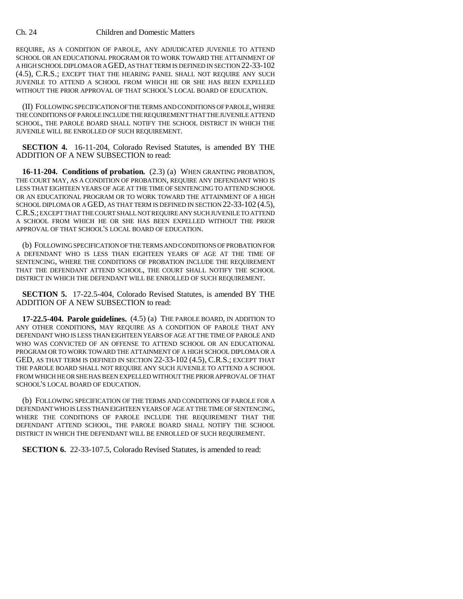## Ch. 24 Children and Domestic Matters

REQUIRE, AS A CONDITION OF PAROLE, ANY ADJUDICATED JUVENILE TO ATTEND SCHOOL OR AN EDUCATIONAL PROGRAM OR TO WORK TOWARD THE ATTAINMENT OF A HIGH SCHOOL DIPLOMA OR A GED, AS THAT TERM IS DEFINED IN SECTION 22-33-102 (4.5), C.R.S.; EXCEPT THAT THE HEARING PANEL SHALL NOT REQUIRE ANY SUCH JUVENILE TO ATTEND A SCHOOL FROM WHICH HE OR SHE HAS BEEN EXPELLED WITHOUT THE PRIOR APPROVAL OF THAT SCHOOL'S LOCAL BOARD OF EDUCATION.

(II) FOLLOWING SPECIFICATION OF THE TERMS AND CONDITIONS OF PAROLE, WHERE THE CONDITIONS OF PAROLE INCLUDE THE REQUIREMENT THAT THE JUVENILE ATTEND SCHOOL, THE PAROLE BOARD SHALL NOTIFY THE SCHOOL DISTRICT IN WHICH THE JUVENILE WILL BE ENROLLED OF SUCH REQUIREMENT.

**SECTION 4.** 16-11-204, Colorado Revised Statutes, is amended BY THE ADDITION OF A NEW SUBSECTION to read:

**16-11-204. Conditions of probation.** (2.3) (a) WHEN GRANTING PROBATION, THE COURT MAY, AS A CONDITION OF PROBATION, REQUIRE ANY DEFENDANT WHO IS LESS THAT EIGHTEEN YEARS OF AGE AT THE TIME OF SENTENCING TO ATTEND SCHOOL OR AN EDUCATIONAL PROGRAM OR TO WORK TOWARD THE ATTAINMENT OF A HIGH SCHOOL DIPLOMA OR A GED, AS THAT TERM IS DEFINED IN SECTION 22-33-102 (4.5), C.R.S.; EXCEPT THAT THE COURT SHALL NOT REQUIRE ANY SUCH JUVENILE TO ATTEND A SCHOOL FROM WHICH HE OR SHE HAS BEEN EXPELLED WITHOUT THE PRIOR APPROVAL OF THAT SCHOOL'S LOCAL BOARD OF EDUCATION.

(b) FOLLOWING SPECIFICATION OF THE TERMS AND CONDITIONS OF PROBATION FOR A DEFENDANT WHO IS LESS THAN EIGHTEEN YEARS OF AGE AT THE TIME OF SENTENCING, WHERE THE CONDITIONS OF PROBATION INCLUDE THE REQUIREMENT THAT THE DEFENDANT ATTEND SCHOOL, THE COURT SHALL NOTIFY THE SCHOOL DISTRICT IN WHICH THE DEFENDANT WILL BE ENROLLED OF SUCH REQUIREMENT.

**SECTION 5.** 17-22.5-404, Colorado Revised Statutes, is amended BY THE ADDITION OF A NEW SUBSECTION to read:

**17-22.5-404. Parole guidelines.** (4.5) (a) THE PAROLE BOARD, IN ADDITION TO ANY OTHER CONDITIONS, MAY REQUIRE AS A CONDITION OF PAROLE THAT ANY DEFENDANT WHO IS LESS THAN EIGHTEEN YEARS OF AGE AT THE TIME OF PAROLE AND WHO WAS CONVICTED OF AN OFFENSE TO ATTEND SCHOOL OR AN EDUCATIONAL PROGRAM OR TO WORK TOWARD THE ATTAINMENT OF A HIGH SCHOOL DIPLOMA OR A GED, AS THAT TERM IS DEFINED IN SECTION 22-33-102 (4.5), C.R.S.; EXCEPT THAT THE PAROLE BOARD SHALL NOT REQUIRE ANY SUCH JUVENILE TO ATTEND A SCHOOL FROM WHICH HE OR SHE HAS BEEN EXPELLED WITHOUT THE PRIOR APPROVAL OF THAT SCHOOL'S LOCAL BOARD OF EDUCATION.

(b) FOLLOWING SPECIFICATION OF THE TERMS AND CONDITIONS OF PAROLE FOR A DEFENDANT WHO IS LESS THAN EIGHTEEN YEARS OF AGE AT THE TIME OF SENTENCING, WHERE THE CONDITIONS OF PAROLE INCLUDE THE REQUIREMENT THAT THE DEFENDANT ATTEND SCHOOL, THE PAROLE BOARD SHALL NOTIFY THE SCHOOL DISTRICT IN WHICH THE DEFENDANT WILL BE ENROLLED OF SUCH REQUIREMENT.

**SECTION 6.** 22-33-107.5, Colorado Revised Statutes, is amended to read: